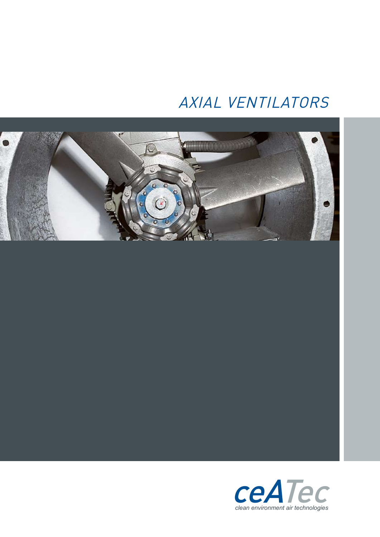## AXIAL VENTILATORS



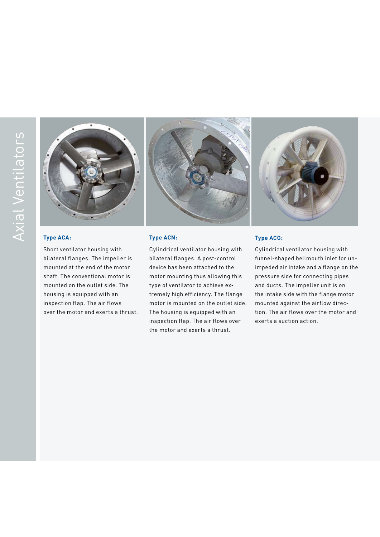





### **Type ACA:**

Short ventilator housing with bilateral flanges. The impeller is mounted at the end of the motor shaft. The conventional motor is mounted on the outlet side. The housing is equipped with an inspection flap. The air flows over the motor and exerts a thrust.

#### **Type ACN:**

Cylindrical ventilator housing with bilateral flanges. A post-control device has been attached to the motor mounting thus allowing this type of ventilator to achieve extremely high efficiency. The flange motor is mounted on the outlet side. The housing is equipped with an inspection flap. The air flows over the motor and exerts a thrust.

#### **Type ACG:**

Cylindrical ventilator housing with funnel-shaped bellmouth inlet for unimpeded air intake and a flange on the pressure side for connecting pipes and ducts. The impeller unit is on the intake side with the flange motor mounted against the airflow direction. The air flows over the motor and exerts a suction action.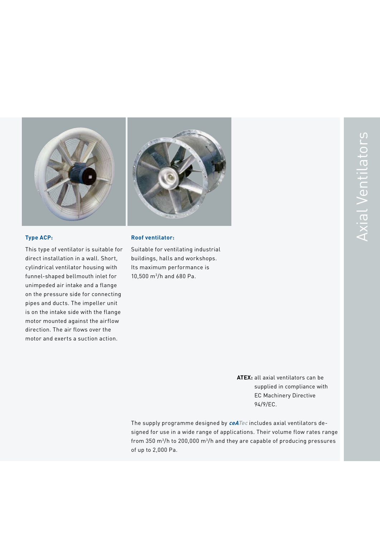



#### **Type ACP:**

This type of ventilator is suitable for direct installation in a wall. Short, cylindrical ventilator housing with funnel-shaped bellmouth inlet for unimpeded air intake and a flange on the pressure side for connecting pipes and ducts. The impeller unit is on the intake side with the flange motor mounted against the airflow direction. The air flows over the motor and exerts a suction action.

#### **Roof ventilator:**

Suitable for ventilating industrial buildings, halls and workshops. Its maximum performance is 10,500 m3/h and 680 Pa.

> **ATEX:** all axial ventilators can be supplied in compliance with EC Machinery Directive 94/9/EC.

The supply programme designed by **ceATec** includes axial ventilators designed for use in a wide range of applications. Their volume flow rates range from 350 m3/h to 200,000 m3/h and they are capable of producing pressures of up to 2,000 Pa.